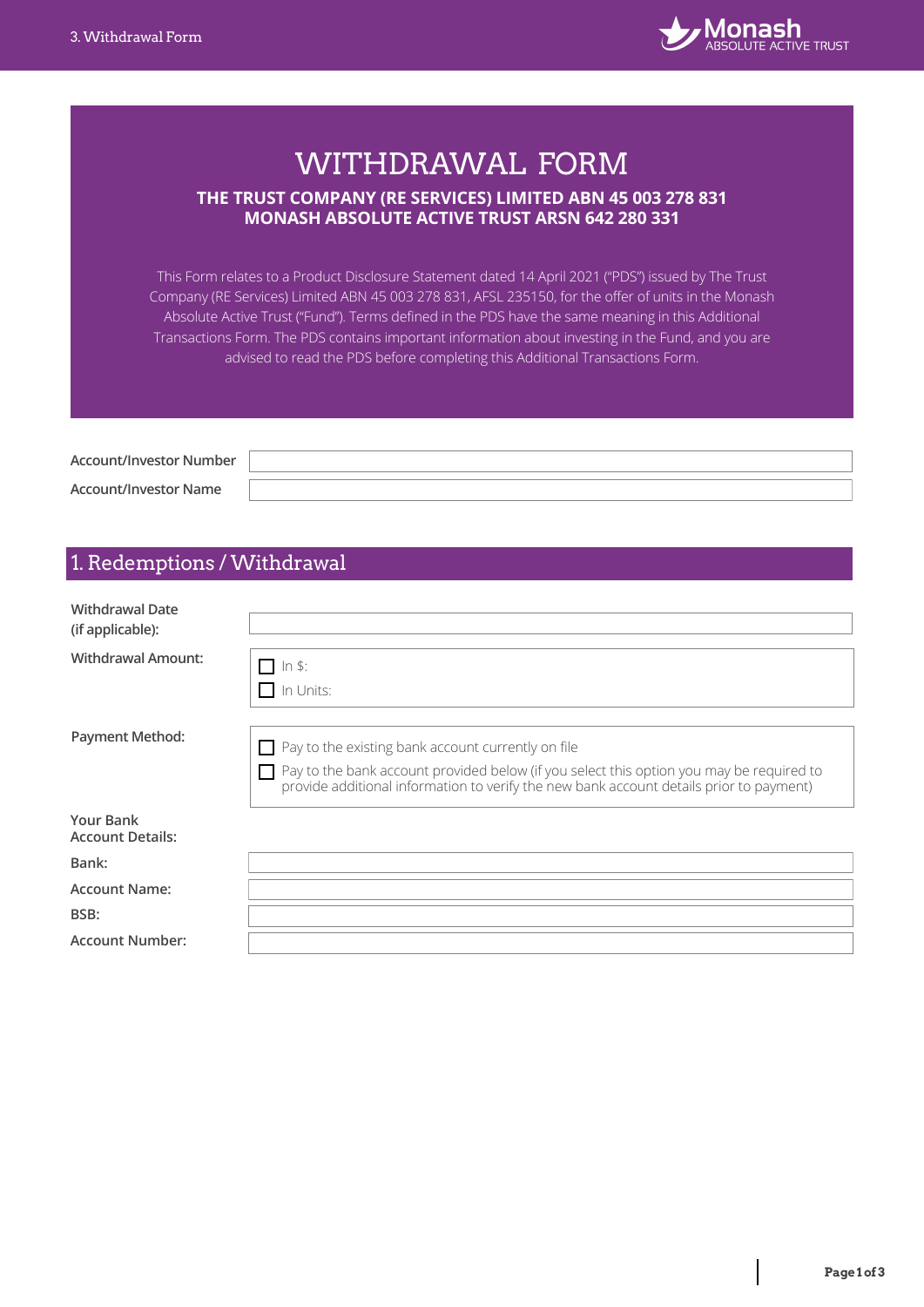

# WITHDRAWAL FORM **THE TRUST COMPANY (RE SERVICES) LIMITED ABN 45 003 278 831 MONASH ABSOLUTE ACTIVE TRUST ARSN 642 280 331**

This Form relates to a Product Disclosure Statement dated 14 April 2021 ("PDS") issued by The Trust Company (RE Services) Limited ABN 45 003 278 831, AFSL 235150, for the offer of units in the Monash Absolute Active Trust ("Fund"). Terms defined in the PDS have the same meaning in this Additional Transactions Form. The PDS contains important information about investing in the Fund, and you are advised to read the PDS before completing this Additional Transactions Form.

**Account/Investor Number Account/Investor Name**

# 1. Redemptions / Withdrawal

| <b>Withdrawal Date</b><br>(if applicable):  |                                                                                                                                                                                                                                                  |
|---------------------------------------------|--------------------------------------------------------------------------------------------------------------------------------------------------------------------------------------------------------------------------------------------------|
| <b>Withdrawal Amount:</b>                   | $\Box$ In \$:<br>II In Units:                                                                                                                                                                                                                    |
| <b>Payment Method:</b>                      | $\Box$ Pay to the existing bank account currently on file<br>Pay to the bank account provided below (if you select this option you may be required to<br>provide additional information to verify the new bank account details prior to payment) |
| <b>Your Bank</b><br><b>Account Details:</b> |                                                                                                                                                                                                                                                  |
| Bank:                                       |                                                                                                                                                                                                                                                  |
| <b>Account Name:</b>                        |                                                                                                                                                                                                                                                  |
| BSB:                                        |                                                                                                                                                                                                                                                  |
| <b>Account Number:</b>                      |                                                                                                                                                                                                                                                  |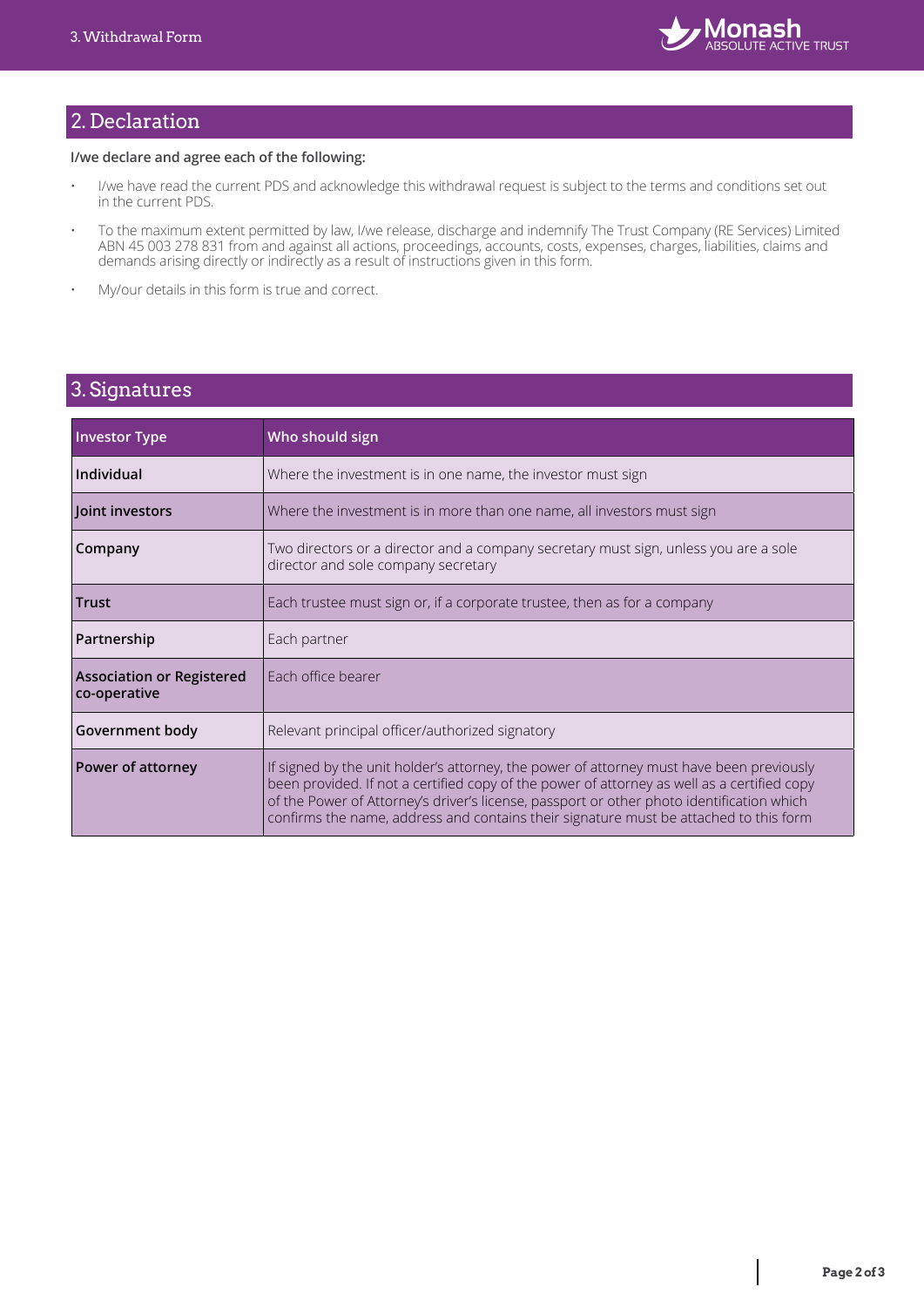

# 2. Declaration

#### **I/we declare and agree each of the following:**

- I/we have read the current PDS and acknowledge this withdrawal request is subject to the terms and conditions set out in the current PDS.
- To the maximum extent permitted by law, I/we release, discharge and indemnify The Trust Company (RE Services) Limited ABN 45 003 278 831 from and against all actions, proceedings, accounts, costs, expenses, charges, liabilities, claims and demands arising directly or indirectly as a result of instructions given in this form.
- My/our details in this form is true and correct.

## 3. Signatures

| <b>Investor Type</b>                             | Who should sign                                                                                                                                                                                                                                                                                                                                                               |  |  |
|--------------------------------------------------|-------------------------------------------------------------------------------------------------------------------------------------------------------------------------------------------------------------------------------------------------------------------------------------------------------------------------------------------------------------------------------|--|--|
| Individual                                       | Where the investment is in one name, the investor must sign                                                                                                                                                                                                                                                                                                                   |  |  |
| Joint investors                                  | Where the investment is in more than one name, all investors must sign                                                                                                                                                                                                                                                                                                        |  |  |
| Company                                          | Two directors or a director and a company secretary must sign, unless you are a sole<br>director and sole company secretary                                                                                                                                                                                                                                                   |  |  |
| <b>Trust</b>                                     | Each trustee must sign or, if a corporate trustee, then as for a company                                                                                                                                                                                                                                                                                                      |  |  |
| Partnership                                      | Each partner                                                                                                                                                                                                                                                                                                                                                                  |  |  |
| <b>Association or Registered</b><br>co-operative | Each office bearer                                                                                                                                                                                                                                                                                                                                                            |  |  |
| Government body                                  | Relevant principal officer/authorized signatory                                                                                                                                                                                                                                                                                                                               |  |  |
| Power of attorney                                | If signed by the unit holder's attorney, the power of attorney must have been previously<br>been provided. If not a certified copy of the power of attorney as well as a certified copy<br>of the Power of Attorney's driver's license, passport or other photo identification which<br>confirms the name, address and contains their signature must be attached to this form |  |  |